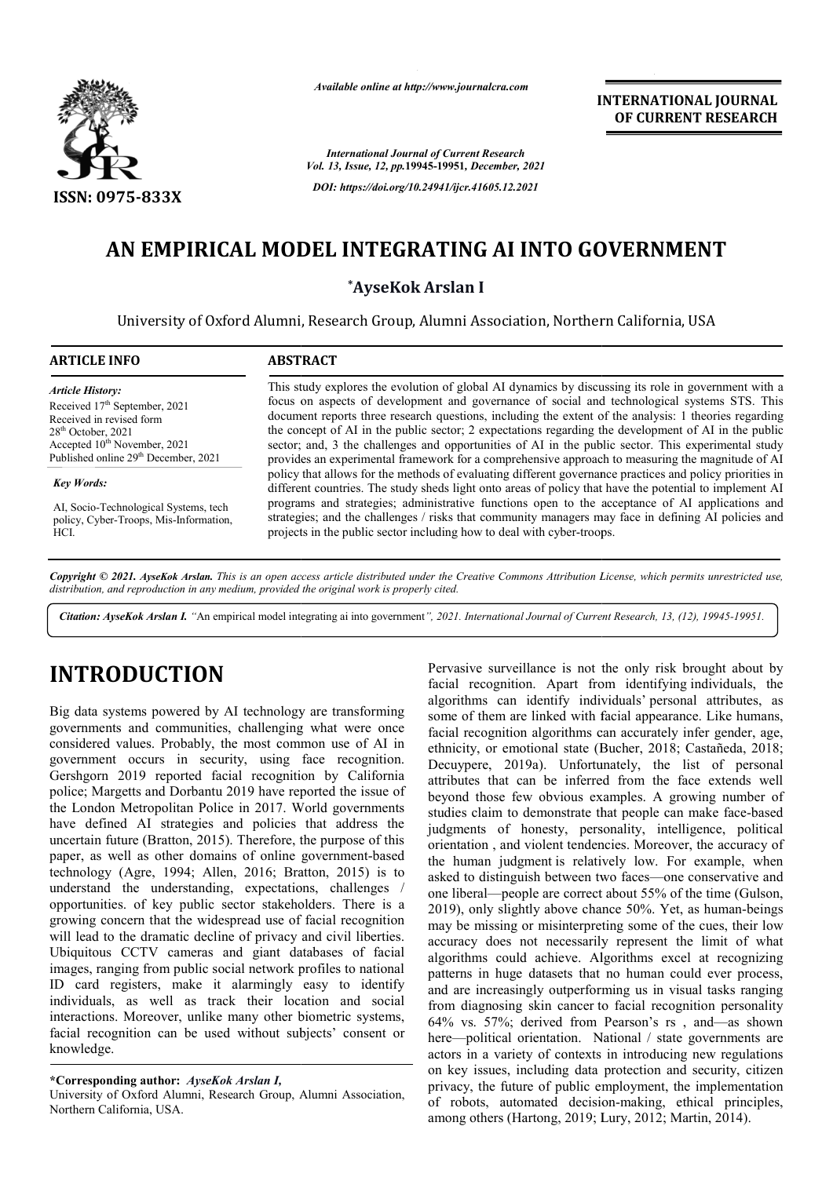

*Available online at http://www.journalcra.com*

*International Journal of Current Research Vol. 13, Issue, 12, pp.***19945-19951***, December, 2021 DOI: https://doi.org/10.24941/ijcr.41605.12.2021*

**INTERNATIONAL JOURNAL OF CURRENT RESEARCH**

# **AN EMPIRICAL MODEL INTEGRATING AI INTO GOVERNMENT AN EMPIRICAL**

**\*AyseKok Arslan I**

University of Oxford Alumni, Research Group, Alumni Association, Northern California, USA

| <b>ARTICLE INFO</b>                                                                                                                                                                                                      | <b>ABSTRACT</b>                                                                                                                                                                                                                                                                                                                                                                                                                                                                                                                                                                                                                 |
|--------------------------------------------------------------------------------------------------------------------------------------------------------------------------------------------------------------------------|---------------------------------------------------------------------------------------------------------------------------------------------------------------------------------------------------------------------------------------------------------------------------------------------------------------------------------------------------------------------------------------------------------------------------------------------------------------------------------------------------------------------------------------------------------------------------------------------------------------------------------|
| <b>Article History:</b><br>Received 17 <sup>th</sup> September, 2021<br>Received in revised form<br>$28th$ October, 2021<br>Accepted 10 <sup>th</sup> November, 2021<br>Published online 29 <sup>th</sup> December, 2021 | This study explores the evolution of global AI dynamics by discussing its role in government with a<br>focus on aspects of development and governance of social and technological systems STS. This<br>document reports three research questions, including the extent of the analysis: 1 theories regarding<br>the concept of AI in the public sector; 2 expectations regarding the development of AI in the public<br>sector; and, 3 the challenges and opportunities of AI in the public sector. This experimental study<br>provides an experimental framework for a comprehensive approach to measuring the magnitude of AI |
| <b>Key Words:</b><br>AI, Socio-Technological Systems, tech<br>policy, Cyber-Troops, Mis-Information,<br>HCI.                                                                                                             | policy that allows for the methods of evaluating different governance practices and policy priorities in<br>different countries. The study sheds light onto areas of policy that have the potential to implement AI<br>programs and strategies; administrative functions open to the acceptance of AI applications and<br>strategies; and the challenges / risks that community managers may face in defining AI policies and<br>projects in the public sector including how to deal with cyber-troops.                                                                                                                         |

Copyright © 2021. AyseKok Arslan. This is an open access article distributed under the Creative Commons Attribution License, which permits unrestricted use, *distribution, and reproduction in any medium, provided the original work is properly cited.*

Citation: AyseKok Arslan I. "An empirical model integrating ai into government", 2021. International Journal of Current Research, 13, (12), 19945-19951.

# **INTRODUCTION**

Big data systems powered by AI technology are transforming governments and communities, challenging what were once considered values. Probably, the most common use of AI in government occurs in security, using face recognition. Gershgorn 2019 reported facial recognition by California police; Margetts and Dorbantu 2019 have reported the issue of the London Metropolitan Police in 2017. World governments have defined AI strategies and policies that address the uncertain future (Bratton, 2015). Therefore, the purpose of this paper, as well as other domains of online government government-based technology (Agre, 1994; Allen, 2016; Bratton, 2015 2015) is to understand the understanding, expectations, challenges / opportunities. of key public sector stakeholders. There is a growing concern that the widespread use of facial recognition will lead to the dramatic decline of privacy and civil liberties. Ubiquitous CCTV cameras and giant databases of facial images, ranging from public social network profiles to national ID card registers, make it alarmingly easy to identify individuals, as well as track their location and social interactions. Moreover, unlike many other biometric systems, facial recognition can be used without subjects' consent or knowledge.

University of Oxford Alumni, Research Group, Alumni Association, Northern California, USA.

Pervasive surveillance is not the only risk brought about by<br>
facial recognition. Apart from identifying individuals, the<br>
nology are transforming algorithms can identify individuals' personal attributes, as<br>
noging what w Pervasive surveillance is not the only risk brought about by facial recognition. Apart from identifying individuals, the algorithms can identify individuals' personal attributes, as some of them are linked with facial appearance. Like humans, facial recognition algorithms can accurately infer gender, age, ethnicity, or emotional state (Bucher, 2018; Castañeda, 2018; Decuypere, 2019a). Unfortunately, the list of personal Decuypere, 2019a). Unfortunately, the list of personal attributes that can be inferred from the face extends well beyond those few obvious examples. A growing number of studies claim to demonstrate that people can make face-based judgments of honesty, personality, intelligence, political orientation , and violent tendencies. Moreover, the accuracy of the human judgment is relatively low. For example, when asked to distinguish between two faces—one conservative and one liberal—people are correct about 55% of the time (Gulson, 2019), only slightly above chance 50%. Yet, as human-beings may be missing or misinterpreting some of the cues, their low accuracy does not necessarily represent the limit of what algorithms could achieve. Algorithms excel at recognizing patterns in huge datasets that no human could ever process, and are increasingly outperforming us in visual tasks ranging from diagnosing skin cancer to facial recognition personality 64% vs. 57%; derived from Pearson's rs, and—as shown here—political orientation. National / state governments are actors in a variety of contexts in introducing new regulations on key issues, including data protection and privacy, the future of public employment, the implementation privacy, the future of public employment, the implementation<br>of robots, automated decision-making, ethical principles, among others (Hartong, 2019; Lury Lury, 2012; Martin, 2014). some of them are linked with facial appearance. Like humans, facial recognition algorithms can accurately infer gender, age, ethnicity, or emotional state (Bucher, 2018; Castañeda, 2018; ts of honesty, personality, intelligence, political<br>on, and violent tendencies. Moreover, the accuracy of<br>an judgment is relatively low. For example, when<br>distinguish between two faces—one conservative and sing or misinterpreting some of the cose not necessarily represent the 1 could achieve. Algorithms excel a huge datasets that no human could reasingly outperforming us in visual olitical orientation. National / state governments are<br>a a variety of contexts in introducing new regulations<br>issues, including data protection and security, citizen

**<sup>\*</sup>Corresponding author:** *AyseKok Arslan I,*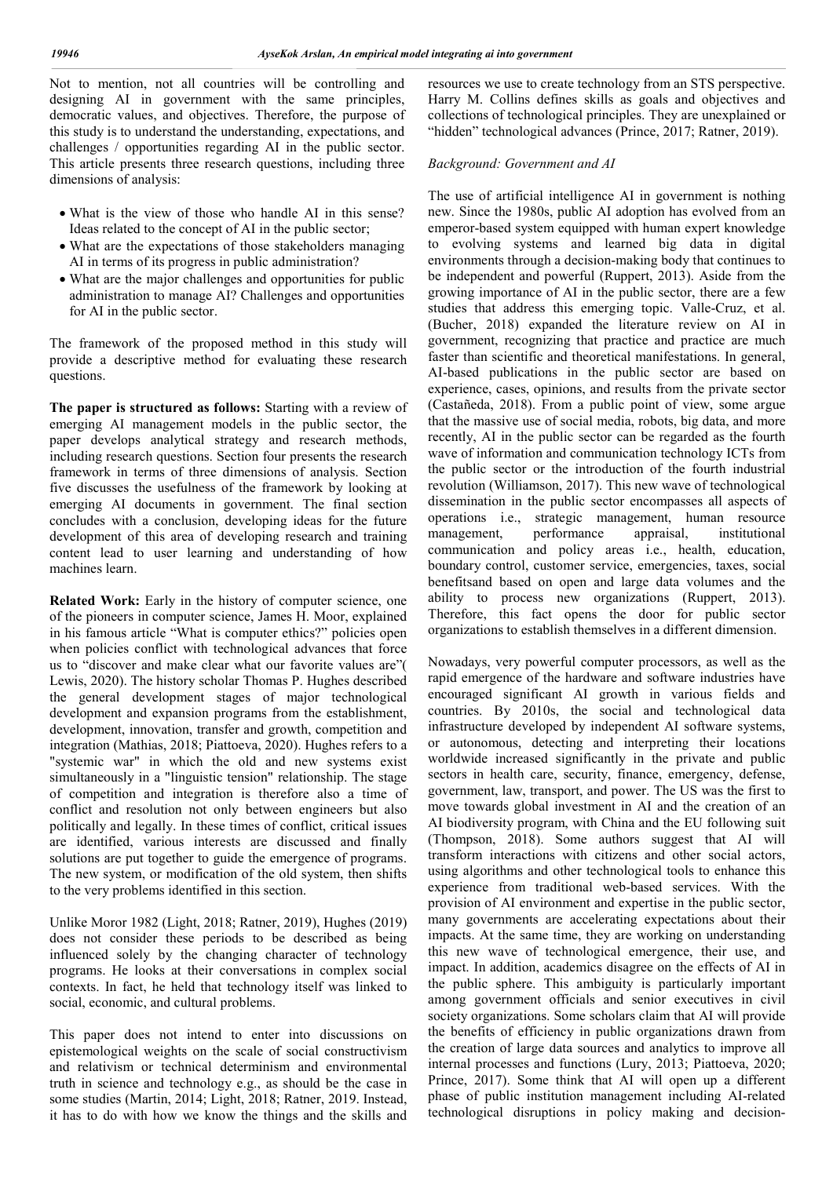Not to mention, not all countries will be controlling and designing AI in government with the same principles, democratic values, and objectives. Therefore, the purpose of this study is to understand the understanding, expectations, and challenges / opportunities regarding AI in the public sector. This article presents three research questions, including three dimensions of analysis:

- What is the view of those who handle AI in this sense? Ideas related to the concept of AI in the public sector;
- What are the expectations of those stakeholders managing AI in terms of its progress in public administration?
- What are the major challenges and opportunities for public administration to manage AI? Challenges and opportunities for AI in the public sector.

The framework of the proposed method in this study will provide a descriptive method for evaluating these research questions.

**The paper is structured as follows:** Starting with a review of emerging AI management models in the public sector, the paper develops analytical strategy and research methods, including research questions. Section four presents the research framework in terms of three dimensions of analysis. Section five discusses the usefulness of the framework by looking at emerging AI documents in government. The final section concludes with a conclusion, developing ideas for the future development of this area of developing research and training content lead to user learning and understanding of how machines learn.

**Related Work:** Early in the history of computer science, one of the pioneers in computer science, James H. Moor, explained in his famous article "What is computer ethics?" policies open when policies conflict with technological advances that force us to "discover and make clear what our favorite values are"( Lewis, 2020). The history scholar Thomas P. Hughes described the general development stages of major technological development and expansion programs from the establishment, development, innovation, transfer and growth, competition and integration (Mathias, 2018; Piattoeva, 2020). Hughes refers to a "systemic war" in which the old and new systems exist simultaneously in a "linguistic tension" relationship. The stage of competition and integration is therefore also a time of conflict and resolution not only between engineers but also politically and legally. In these times of conflict, critical issues are identified, various interests are discussed and finally solutions are put together to guide the emergence of programs. The new system, or modification of the old system, then shifts to the very problems identified in this section.

Unlike Moror 1982 (Light, 2018; Ratner, 2019), Hughes (2019) does not consider these periods to be described as being influenced solely by the changing character of technology programs. He looks at their conversations in complex social contexts. In fact, he held that technology itself was linked to social, economic, and cultural problems.

This paper does not intend to enter into discussions on epistemological weights on the scale of social constructivism and relativism or technical determinism and environmental truth in science and technology e.g., as should be the case in some studies (Martin, 2014; Light, 2018; Ratner, 2019. Instead, it has to do with how we know the things and the skills and resources we use to create technology from an STS perspective. Harry M. Collins defines skills as goals and objectives and collections of technological principles. They are unexplained or "hidden" technological advances (Prince, 2017; Ratner, 2019).

## *Background: Government and AI*

The use of artificial intelligence AI in government is nothing new. Since the 1980s, public AI adoption has evolved from an emperor-based system equipped with human expert knowledge to evolving systems and learned big data in digital environments through a decision-making body that continues to be independent and powerful (Ruppert, 2013). Aside from the growing importance of AI in the public sector, there are a few studies that address this emerging topic. Valle-Cruz, et al. (Bucher, 2018) expanded the literature review on AI in government, recognizing that practice and practice are much faster than scientific and theoretical manifestations. In general, AI-based publications in the public sector are based on experience, cases, opinions, and results from the private sector (Castañeda, 2018). From a public point of view, some argue that the massive use of social media, robots, big data, and more recently, AI in the public sector can be regarded as the fourth wave of information and communication technology ICTs from the public sector or the introduction of the fourth industrial revolution (Williamson, 2017). This new wave of technological dissemination in the public sector encompasses all aspects of operations i.e., strategic management, human resource management, performance appraisal, institutional communication and policy areas i.e., health, education, boundary control, customer service, emergencies, taxes, social benefitsand based on open and large data volumes and the ability to process new organizations (Ruppert, 2013). Therefore, this fact opens the door for public sector organizations to establish themselves in a different dimension.

Nowadays, very powerful computer processors, as well as the rapid emergence of the hardware and software industries have encouraged significant AI growth in various fields and countries. By 2010s, the social and technological data infrastructure developed by independent AI software systems, or autonomous, detecting and interpreting their locations worldwide increased significantly in the private and public sectors in health care, security, finance, emergency, defense, government, law, transport, and power. The US was the first to move towards global investment in AI and the creation of an AI biodiversity program, with China and the EU following suit (Thompson, 2018). Some authors suggest that AI will transform interactions with citizens and other social actors, using algorithms and other technological tools to enhance this experience from traditional web-based services. With the provision of AI environment and expertise in the public sector, many governments are accelerating expectations about their impacts. At the same time, they are working on understanding this new wave of technological emergence, their use, and impact. In addition, academics disagree on the effects of AI in the public sphere. This ambiguity is particularly important among government officials and senior executives in civil society organizations. Some scholars claim that AI will provide the benefits of efficiency in public organizations drawn from the creation of large data sources and analytics to improve all internal processes and functions (Lury, 2013; Piattoeva, 2020; Prince, 2017). Some think that AI will open up a different phase of public institution management including AI-related technological disruptions in policy making and decision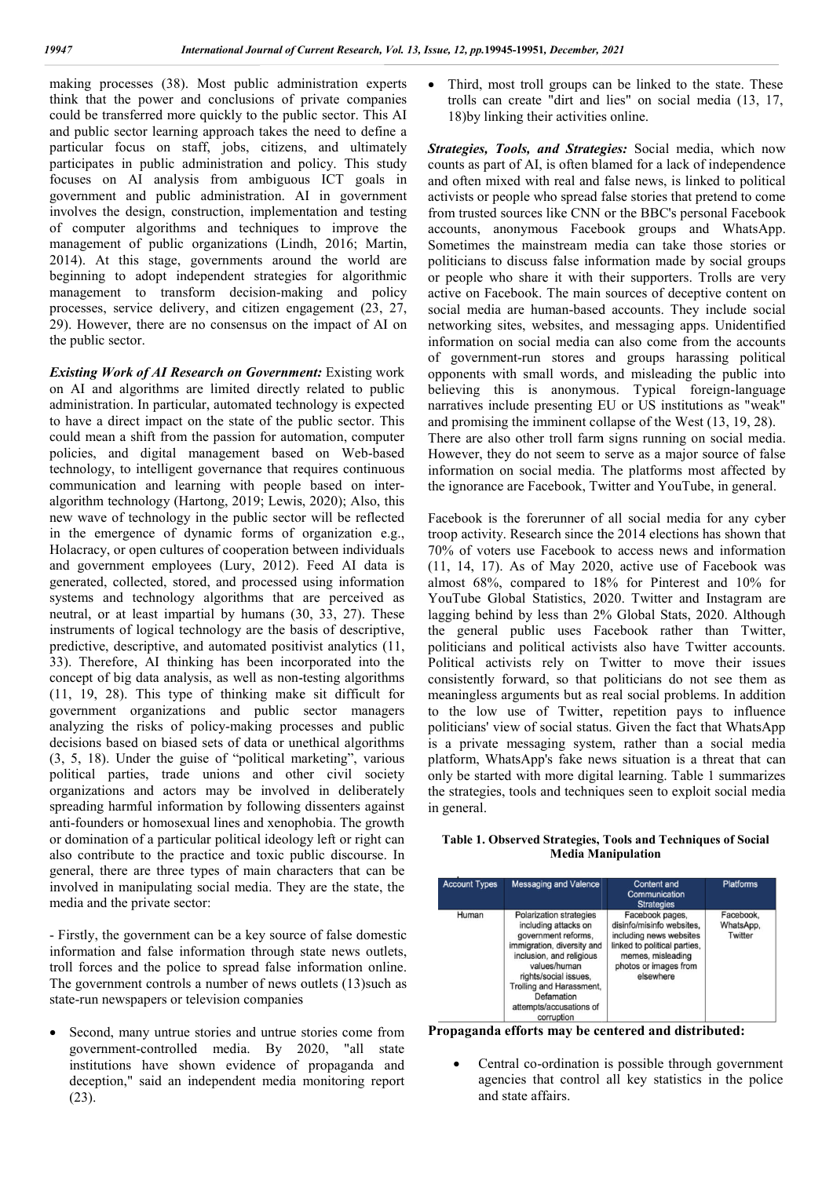making processes (38). Most public administration experts think that the power and conclusions of private companies could be transferred more quickly to the public sector. This AI and public sector learning approach takes the need to define a particular focus on staff, jobs, citizens, and ultimately participates in public administration and policy. This study focuses on AI analysis from ambiguous ICT goals in government and public administration. AI in government involves the design, construction, implementation and testing of computer algorithms and techniques to improve the management of public organizations (Lindh, 2016; Martin, 2014). At this stage, governments around the world are 2014). At this stage, governments around the world are beginning to adopt independent strategies for algorithmic management to transform decision-making and policy management to transform decision-making and policy<br>processes, service delivery, and citizen engagement (23, 27, 29). However, there are no consensus on the impact of AI on . the public sector. . Most public administration experts<br>and conclusions of private companies<br>re quickly to the public sector. This AI<br>ng approach takes the need to define a onstruction, implementation and testing<br>nms and techniques to improve the<br>c organizations (Lindh, 2016; Martin,

**Existing Work of AI Research on Government: Existing work** on AI and algorithms are limited directly related to public administration. In particular, automated technology is expected to have a direct impact on the state of the public sector. This could mean a shift from the passion for automation, computer policies, and digital management based on Web Web-based technology, to intelligent governance that requires continuous communication and learning with people based on interalgorithm technology (Hartong, 2019; Lewis, 2020); Also, this new wave of technology in the public sector will be reflected in the emergence of dynamic forms of organization e.g., Holacracy, or open cultures of cooperation between individuals and government employees (Lury, 2012). Feed AI data is generated, collected, stored, and processed using information systems and technology algorithms that are perceived as neutral, or at least impartial by humans (30, 33, 27). These instruments of logical technology are the basis of descriptive, predictive, descriptive, and automated positivist analytics (11, 33). Therefore, AI thinking has been incorporated into the 33). Therefore, AI thinking has been incorporated into the concept of big data analysis, as well as non-testing algorithms (11, 19, 28). This type of thinking make sit difficult for government organizations and public sector managers analyzing the risks of policy-making processes and public decisions based on biased sets of data or unethical algorithms (3, 5, 18). Under the guise of "political marketing", various political parties, trade unions and other civil society organizations and actors may be involved in deliberately spreading harmful information by following dissenters against anti-founders or homosexual lines and xenophobia. The growth or domination of a particular political ideology left or right can also contribute to the practice and toxic public discourse. In general, there are three types of main characters that can be involved in manipulating social media. They are the state, the media and the private sector: logy in the public sector will be reflected<br>of dynamic forms of organization e.g.,<br>ultures of cooperation between individuals<br>uployees (Lury, 2012). Feed AI data is essed using information<br>that are perceived as<br>ans (30, 33, 27). These 19, 28). This type of thinking make sit difficult for rrnment organizations and public sector managers express and public sions based on biased sets of data or unethical algorithms is, 18). Under the guise of "political m processes. (33). Most public sinkation experience is Third, most red groups can be linked to the sinkation experience in the controlled procedure in the sinkation experience is transfer transmitted to the sinkation experi

- Firstly, the government can be a key source of false domestic information and false information through state news outlets, troll forces and the police to spread false information online. The government controls a number of news outlets (13) such as state-run newspapers or television companies

 Second, many untrue stories and untrue stories come from government-controlled media. By 2020, "all state institutions have shown evidence of propaganda and deception," said an independent media monitoring report (23).

trolls can create "dirt and lies" on social media  $(13, 17, 17)$ 18) by linking their activities online. Third, most troll groups can be linked to the state. These

Strategies, Tools, and Strategies: Social media, which now counts as part of AI, is often blamed for a lack of independence and often mixed with real and false news, is linked to political activists or people who spread false stories that pretend to come from trusted sources like CNN or the BBC's personal Facebook accounts, anonymous Facebook groups and WhatsApp. Sometimes the mainstream media can take those stories or politicians to discuss false information made by social groups or people who share it with their supporters. active on Facebook. The main sources of deceptive content on social media are human-based accounts. They include social networking sites, websites, and messaging apps. Unidentified information on social media can also come from the accounts of government-run stores and groups harassing political opponents with small words, and misleading the public into networking sites, websites, and messaging apps. Unidentified<br>information on social media can also come from the accounts<br>of government-run stores and groups harassing political<br>opponents with small words, and misleading th narratives include presenting EU or US institutions as "weak" narratives include presenting EU or US institutions as "weal<br>and promising the imminent collapse of the West (13, 19, 28). There are also other troll farm signs running on social media. However, they do not seem to serve as a major source of false information on social media. The platforms most affected by the ignorance are Facebook, Twitter and YouTube, in general. as part of AI, is often blamed for a lack of independence<br>en mixed with real and false news, is linked to political<br>s or people who spread false stories that pretend to come<br>usted sources like CNN or the BBC's personal Fac 51, *December, 2021*<br>
Ill groups can b<br>
te "dirt and lies<br>
te "dirt and lies<br>
heir activities on<br>
and Strategies<br>
I, is often blame<br>
oth real and fals<br>
who spread fals<br>
who spread fals<br>
sinstream media als<br>
ans false infor

Facebook is the forerunner of all social media for any cyber troop activity. Research since the 2014 elections has shown that 70% of voters use Facebook to access news and information (11, 14, 17). As of May 2020, active use of Facebook was almost 68%, compared to 18% for Pinterest and 10% for YouTube Global Statistics, 2020. Twitter and Instagram are lagging behind by less than 2% Global Stats, 2020. Although the general public uses Facebook rather than Twitter, politicians and political activists also have Twitter accounts. Political activists rely on Twitter to move their issues consistently forward, so that politicians do not see them as meaningless arguments but as real social problems. In addition to the low use of Twitter, repetition pays to influence politicians' view of social status. Given the fact that WhatsApp is a private messaging system, rather than a social media is a private messaging system, rather than a social media<br>platform, WhatsApp's fake news situation is a threat that can only be started with more digital learning. Table 1 summarizes the strategies, tools and techniques seen to exploit social media in general. There are also other troll farm signs running on social media.<br>However, they do not seem to serve as a major source of false<br>information on social media. The platforms most affected by<br>the ignorance are Facebook, Twitter a lagging behind by less than 2% Global Stats, 2020. Although the general public uses Facebook rather than Twitter, politicians and political activists also have Twitter accounts. Political activists rely on Twitter to move

#### **Table 1. Observed Strategies, Tools and Techniques of Social Media Manipulation**

| <b>Account Types</b> | <b>Messaging and Valence</b>                                                                                                                                                                                                                                        | <b>Content and</b><br>Communication<br><b>Strategies</b>                                                                                                           | <b>Platforms</b>                  |
|----------------------|---------------------------------------------------------------------------------------------------------------------------------------------------------------------------------------------------------------------------------------------------------------------|--------------------------------------------------------------------------------------------------------------------------------------------------------------------|-----------------------------------|
| Human                | <b>Polarization strategies</b><br>including attacks on<br>government reforms.<br>immigration, diversity and<br>inclusion, and religious<br>values/human<br>rights/social issues.<br>Trolling and Harassment,<br>Defamation<br>attempts/accusations of<br>corruption | Facebook pages.<br>disinfo/misinfo websites.<br>including news websites<br>linked to political parties,<br>memes, misleading<br>photos or images from<br>elsewhere | Facebook.<br>WhatsApp,<br>Twitter |

Propaganda efforts may be centered and distributed:

 Central co-ordination is possible through government agencies that control all key statistics in the police and state affairs.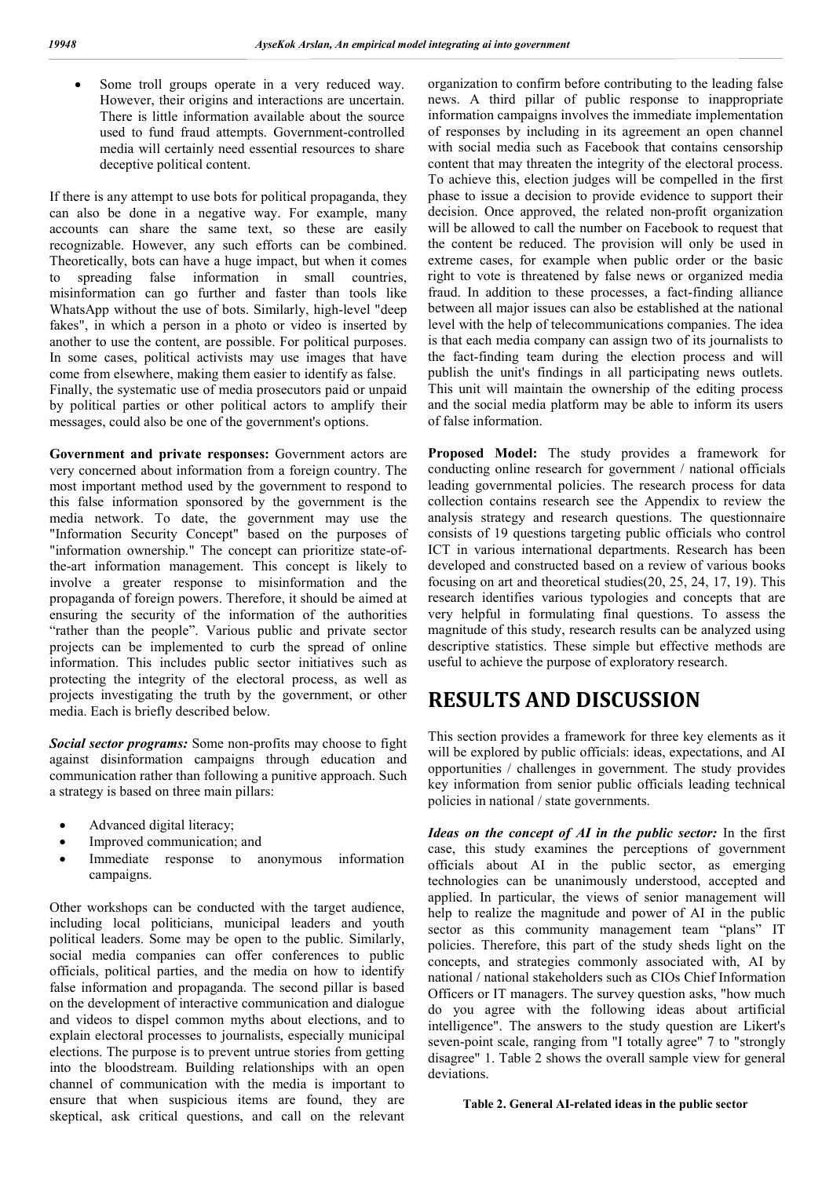Some troll groups operate in a very reduced way. However, their origins and interactions are uncertain. There is little information available about the source used to fund fraud attempts. Government-controlled media will certainly need essential resources to share deceptive political content.

If there is any attempt to use bots for political propaganda, they can also be done in a negative way. For example, many accounts can share the same text, so these are easily recognizable. However, any such efforts can be combined. Theoretically, bots can have a huge impact, but when it comes to spreading false information in small countries, misinformation can go further and faster than tools like WhatsApp without the use of bots. Similarly, high-level "deep fakes", in which a person in a photo or video is inserted by another to use the content, are possible. For political purposes. In some cases, political activists may use images that have come from elsewhere, making them easier to identify as false. Finally, the systematic use of media prosecutors paid or unpaid by political parties or other political actors to amplify their messages, could also be one of the government's options.

**Government and private responses:** Government actors are very concerned about information from a foreign country. The most important method used by the government to respond to this false information sponsored by the government is the media network. To date, the government may use the "Information Security Concept" based on the purposes of "information ownership." The concept can prioritize state-ofthe-art information management. This concept is likely to involve a greater response to misinformation and the propaganda of foreign powers. Therefore, it should be aimed at ensuring the security of the information of the authorities "rather than the people". Various public and private sector projects can be implemented to curb the spread of online information. This includes public sector initiatives such as protecting the integrity of the electoral process, as well as projects investigating the truth by the government, or other media. Each is briefly described below.

*Social sector programs:* Some non-profits may choose to fight against disinformation campaigns through education and communication rather than following a punitive approach. Such a strategy is based on three main pillars:

- Advanced digital literacy;
- Improved communication; and
- Immediate response to anonymous information campaigns.

Other workshops can be conducted with the target audience, including local politicians, municipal leaders and youth political leaders. Some may be open to the public. Similarly, social media companies can offer conferences to public officials, political parties, and the media on how to identify false information and propaganda. The second pillar is based on the development of interactive communication and dialogue and videos to dispel common myths about elections, and to explain electoral processes to journalists, especially municipal elections. The purpose is to prevent untrue stories from getting into the bloodstream. Building relationships with an open channel of communication with the media is important to ensure that when suspicious items are found, they are skeptical, ask critical questions, and call on the relevant

organization to confirm before contributing to the leading false news. A third pillar of public response to inappropriate information campaigns involves the immediate implementation of responses by including in its agreement an open channel with social media such as Facebook that contains censorship content that may threaten the integrity of the electoral process. To achieve this, election judges will be compelled in the first phase to issue a decision to provide evidence to support their decision. Once approved, the related non-profit organization will be allowed to call the number on Facebook to request that the content be reduced. The provision will only be used in extreme cases, for example when public order or the basic right to vote is threatened by false news or organized media fraud. In addition to these processes, a fact-finding alliance between all major issues can also be established at the national level with the help of telecommunications companies. The idea is that each media company can assign two of its journalists to the fact-finding team during the election process and will publish the unit's findings in all participating news outlets. This unit will maintain the ownership of the editing process and the social media platform may be able to inform its users of false information.

**Proposed Model:** The study provides a framework for conducting online research for government / national officials leading governmental policies. The research process for data collection contains research see the Appendix to review the analysis strategy and research questions. The questionnaire consists of 19 questions targeting public officials who control ICT in various international departments. Research has been developed and constructed based on a review of various books focusing on art and theoretical studies(20, 25, 24, 17, 19). This research identifies various typologies and concepts that are very helpful in formulating final questions. To assess the magnitude of this study, research results can be analyzed using descriptive statistics. These simple but effective methods are useful to achieve the purpose of exploratory research.

## **RESULTS AND DISCUSSION**

This section provides a framework for three key elements as it will be explored by public officials: ideas, expectations, and AI opportunities / challenges in government. The study provides key information from senior public officials leading technical policies in national / state governments.

*Ideas on the concept of AI in the public sector:* In the first case, this study examines the perceptions of government officials about AI in the public sector, as emerging technologies can be unanimously understood, accepted and applied. In particular, the views of senior management will help to realize the magnitude and power of AI in the public sector as this community management team "plans" IT policies. Therefore, this part of the study sheds light on the concepts, and strategies commonly associated with, AI by national / national stakeholders such as CIOs Chief Information Officers or IT managers. The survey question asks, "how much do you agree with the following ideas about artificial intelligence". The answers to the study question are Likert's seven-point scale, ranging from "I totally agree" 7 to "strongly disagree" 1. Table 2 shows the overall sample view for general deviations.

#### **Table 2. General AI-related ideas in the public sector**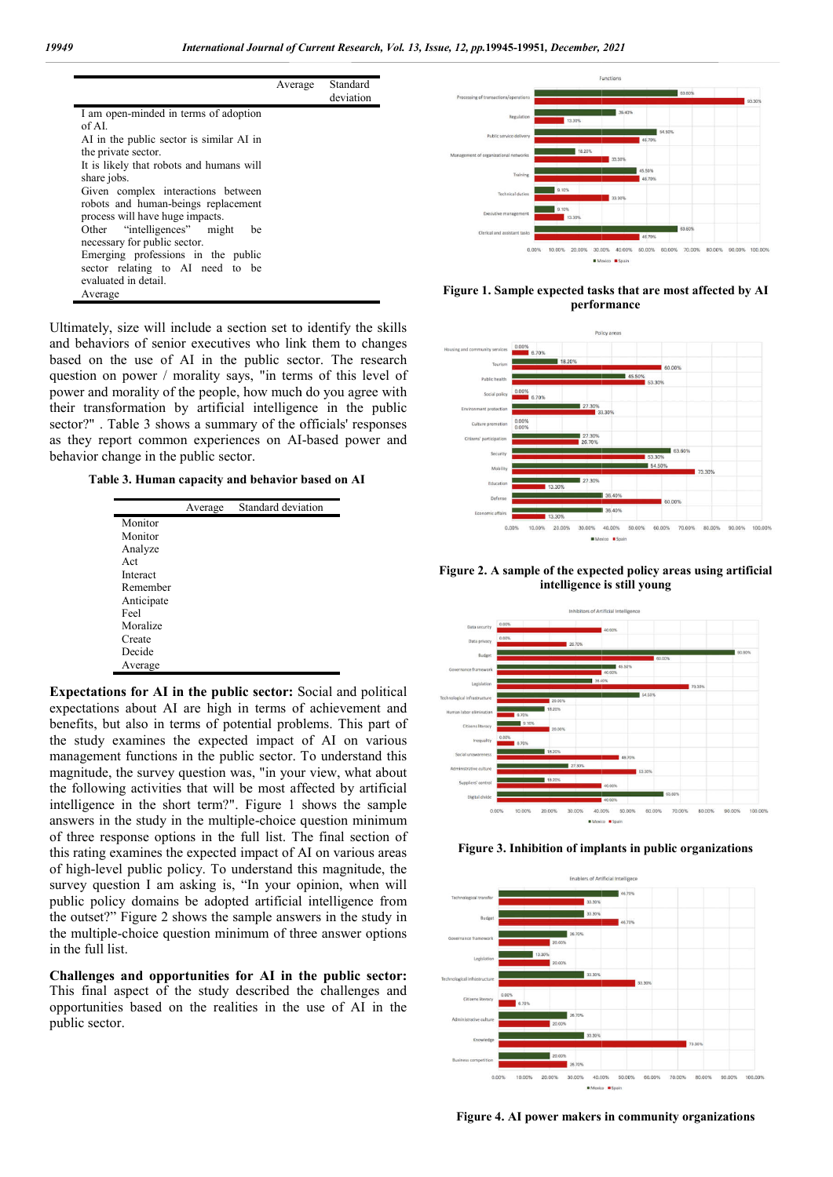|                                          | Average | Standard<br>deviation |
|------------------------------------------|---------|-----------------------|
| I am open-minded in terms of adoption    |         |                       |
| of AL                                    |         |                       |
| AI in the public sector is similar AI in |         |                       |
| the private sector.                      |         |                       |
| It is likely that robots and humans will |         |                       |
| share jobs.                              |         |                       |
| Given complex interactions between       |         |                       |
| robots and human-beings replacement      |         |                       |
| process will have huge impacts.          |         |                       |
| Other "intelligences" might<br>be        |         |                       |
| necessary for public sector.             |         |                       |
| Emerging professions in the public       |         |                       |
| sector relating to AI need to be         |         |                       |
| evaluated in detail.                     |         |                       |
| Average                                  |         |                       |

Ultimately, size will include a section set to identify the skills and behaviors of senior executives who link them to changes based on the use of AI in the public sector. The research question on power / morality says, "in terms of this level of power and morality of the people, how much do you agree with their transformation by artificial intelligence in the public sector?" . Table 3 shows a summary of the officials' responses as they report common experiences on AI AI-based power and behavior change in the public sector.

**Table 3. Human capacity and behavior based on AI**

|            | Average | Standard deviation |
|------------|---------|--------------------|
| Monitor    |         |                    |
| Monitor    |         |                    |
| Analyze    |         |                    |
| Act        |         |                    |
| Interact   |         |                    |
| Remember   |         |                    |
| Anticipate |         |                    |
| Feel       |         |                    |
| Moralize   |         |                    |
| Create     |         |                    |
| Decide     |         |                    |
| Average    |         |                    |

**Expectations for AI in the public sector:** Social and political expectations about AI are high in terms of achievement and benefits, but also in terms of potential problems. This part of the study examines the expected impact of AI on various management functions in the public sector. To understand this magnitude, the survey question was, "in your view, what about the following activities that will be most affected by artificial intelligence in the short term?". Figure 1 shows the sample answers in the study in the multiple-choice question minimum of three response options in the full list. The final section of this rating examines the expected impact of AI on various areas of high-level public policy. To understand this magnitude, the survey question I am asking is, "In your opinion, when will public policy domains be adopted artificial intelligence from the outset?" Figure 2 shows the sample answers in the study in the multiple-choice question minimum of three answer options in the full list. in the study in the multiple-choice question minimum<br>response options in the full list. The final section of<br>g examines the expected impact of AI on various areas<br>level public policy. To understand this magnitude, the<br>ques

**Challenges and opportunities for AI in the public sector sector:**  This final aspect of the study described the challenges and opportunities based on the realities in the use of AI in the public sector.



**Figure 1. Sample expected tasks that are most affected by AI performance**











**Figure 4. AI power makers in community organizations**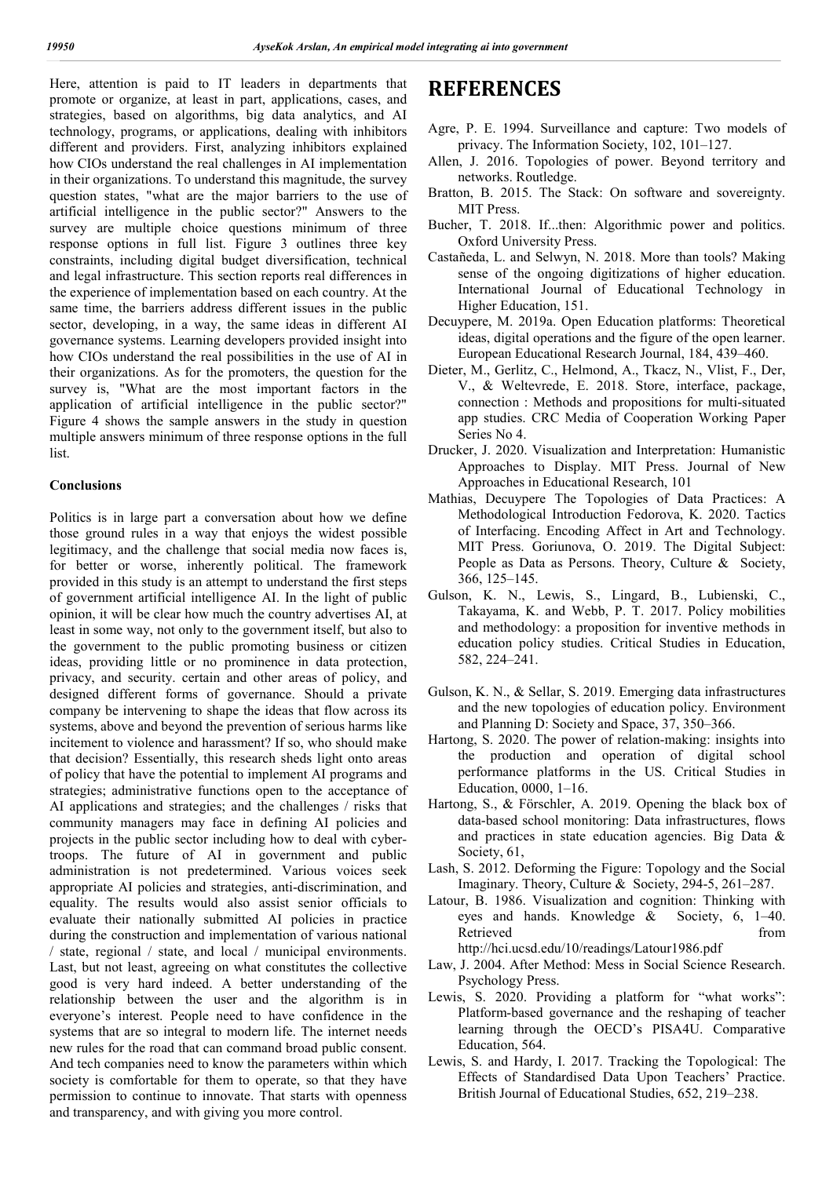Here, attention is paid to IT leaders in departments that promote or organize, at least in part, applications, cases, and strategies, based on algorithms, big data analytics, and AI technology, programs, or applications, dealing with inhibitors different and providers. First, analyzing inhibitors explained how CIOs understand the real challenges in AI implementation in their organizations. To understand this magnitude, the survey question states, "what are the major barriers to the use of artificial intelligence in the public sector?" Answers to the survey are multiple choice questions minimum of three response options in full list. Figure 3 outlines three key constraints, including digital budget diversification, technical and legal infrastructure. This section reports real differences in the experience of implementation based on each country. At the same time, the barriers address different issues in the public sector, developing, in a way, the same ideas in different AI governance systems. Learning developers provided insight into how CIOs understand the real possibilities in the use of AI in their organizations. As for the promoters, the question for the survey is, "What are the most important factors in the application of artificial intelligence in the public sector?" Figure 4 shows the sample answers in the study in question multiple answers minimum of three response options in the full list.

## **Conclusions**

Politics is in large part a conversation about how we define those ground rules in a way that enjoys the widest possible legitimacy, and the challenge that social media now faces is, for better or worse, inherently political. The framework provided in this study is an attempt to understand the first steps of government artificial intelligence AI. In the light of public opinion, it will be clear how much the country advertises AI, at least in some way, not only to the government itself, but also to the government to the public promoting business or citizen ideas, providing little or no prominence in data protection, privacy, and security. certain and other areas of policy, and designed different forms of governance. Should a private company be intervening to shape the ideas that flow across its systems, above and beyond the prevention of serious harms like incitement to violence and harassment? If so, who should make that decision? Essentially, this research sheds light onto areas of policy that have the potential to implement AI programs and strategies; administrative functions open to the acceptance of AI applications and strategies; and the challenges / risks that community managers may face in defining AI policies and projects in the public sector including how to deal with cybertroops. The future of AI in government and public administration is not predetermined. Various voices seek appropriate AI policies and strategies, anti-discrimination, and equality. The results would also assist senior officials to evaluate their nationally submitted AI policies in practice during the construction and implementation of various national / state, regional / state, and local / municipal environments. Last, but not least, agreeing on what constitutes the collective good is very hard indeed. A better understanding of the relationship between the user and the algorithm is in everyone's interest. People need to have confidence in the systems that are so integral to modern life. The internet needs new rules for the road that can command broad public consent. And tech companies need to know the parameters within which society is comfortable for them to operate, so that they have permission to continue to innovate. That starts with openness and transparency, and with giving you more control.

# **REFERENCES**

- Agre, P. E. 1994. Surveillance and capture: Two models of privacy. The Information Society, 102, 101–127.
- Allen, J. 2016. Topologies of power. Beyond territory and networks. Routledge.
- Bratton, B. 2015. The Stack: On software and sovereignty. MIT Press.
- Bucher, T. 2018. If...then: Algorithmic power and politics. Oxford University Press.
- Castañeda, L. and Selwyn, N. 2018. More than tools? Making sense of the ongoing digitizations of higher education. International Journal of Educational Technology in Higher Education, 151.
- Decuypere, M. 2019a. Open Education platforms: Theoretical ideas, digital operations and the figure of the open learner. European Educational Research Journal, 184, 439–460.
- Dieter, M., Gerlitz, C., Helmond, A., Tkacz, N., Vlist, F., Der, V., & Weltevrede, E. 2018. Store, interface, package, connection : Methods and propositions for multi-situated app studies. CRC Media of Cooperation Working Paper Series No 4.
- Drucker, J. 2020. Visualization and Interpretation: Humanistic Approaches to Display. MIT Press. Journal of New Approaches in Educational Research, 101
- Mathias, Decuypere The Topologies of Data Practices: A Methodological Introduction Fedorova, K. 2020. Tactics of Interfacing. Encoding Affect in Art and Technology. MIT Press. Goriunova, O. 2019. The Digital Subject: People as Data as Persons. Theory, Culture & Society, 366, 125–145.
- Gulson, K. N., Lewis, S., Lingard, B., Lubienski, C., Takayama, K. and Webb, P. T. 2017. Policy mobilities and methodology: a proposition for inventive methods in education policy studies. Critical Studies in Education, 582, 224–241.
- Gulson, K. N., & Sellar, S. 2019. Emerging data infrastructures and the new topologies of education policy. Environment and Planning D: Society and Space, 37, 350–366.
- Hartong, S. 2020. The power of relation-making: insights into the production and operation of digital school performance platforms in the US. Critical Studies in Education, 0000, 1–16.
- Hartong, S., & Förschler, A. 2019. Opening the black box of data-based school monitoring: Data infrastructures, flows and practices in state education agencies. Big Data & Society, 61,
- Lash, S. 2012. Deforming the Figure: Topology and the Social Imaginary. Theory, Culture & Society, 294-5, 261–287.
- Latour, B. 1986. Visualization and cognition: Thinking with eyes and hands. Knowledge & Society, 6, 1–40. Retrieved from the state of  $\sim$ http://hci.ucsd.edu/10/readings/Latour1986.pdf
- Law, J. 2004. After Method: Mess in Social Science Research. Psychology Press.
- Lewis, S. 2020. Providing a platform for "what works": Platform-based governance and the reshaping of teacher learning through the OECD's PISA4U. Comparative Education, 564.
- Lewis, S. and Hardy, I. 2017. Tracking the Topological: The Effects of Standardised Data Upon Teachers' Practice. British Journal of Educational Studies, 652, 219–238.